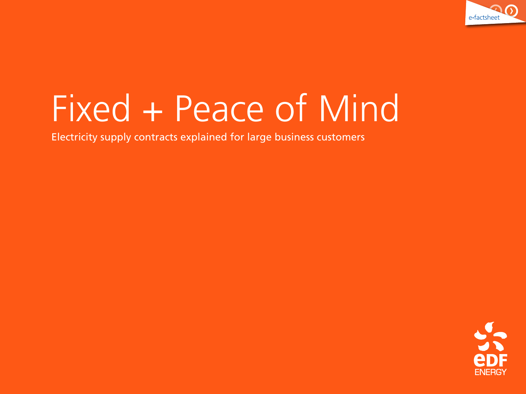

# Fixed + Peace of Mind

Electricity supply contracts explained for large business customers

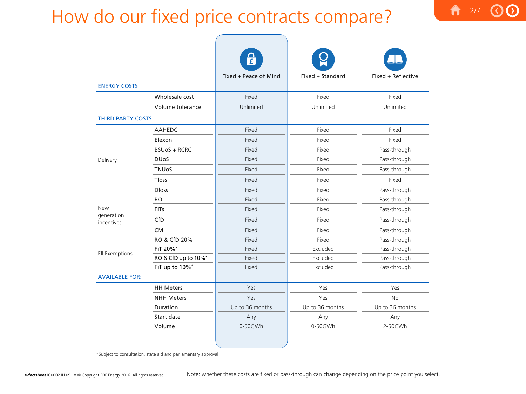# How do our fixed price contracts compare?

|                                        |                     | Å                     |                  |                    |
|----------------------------------------|---------------------|-----------------------|------------------|--------------------|
| <b>ENERGY COSTS</b>                    |                     | Fixed + Peace of Mind | Fixed + Standard | Fixed + Reflective |
|                                        | Wholesale cost      | Fixed                 | Fixed            | Fixed              |
|                                        | Volume tolerance    | Unlimited             | Unlimited        | Unlimited          |
| <b>THIRD PARTY COSTS</b>               |                     |                       |                  |                    |
|                                        | <b>AAHEDC</b>       | Fixed                 | Fixed            | Fixed              |
| Delivery                               | Elexon              | Fixed                 | Fixed            | Fixed              |
|                                        | <b>BSUoS + RCRC</b> | Fixed                 | Fixed            | Pass-through       |
|                                        | <b>DUoS</b>         | Fixed                 | Fixed            | Pass-through       |
|                                        | <b>TNUoS</b>        | Fixed                 | Fixed            | Pass-through       |
|                                        | <b>Tloss</b>        | Fixed                 | Fixed            | Fixed              |
|                                        | <b>Dloss</b>        | Fixed                 | Fixed            | Pass-through       |
| <b>New</b><br>generation<br>incentives | <b>RO</b>           | Fixed                 | Fixed            | Pass-through       |
|                                        | <b>FITs</b>         | Fixed                 | Fixed            | Pass-through       |
|                                        | CfD                 | Fixed                 | Fixed            | Pass-through       |
|                                        | <b>CM</b>           | Fixed                 | Fixed            | Pass-through       |
| Ell Exemptions                         | RO & CfD 20%        | Fixed                 | Fixed            | Pass-through       |
|                                        | FiT 20%*            | Fixed                 | Excluded         | Pass-through       |
|                                        | RO & CfD up to 10%* | Fixed                 | Excluded         | Pass-through       |
|                                        | FiT up to 10%*      | Fixed                 | Excluded         | Pass-through       |
| <b>AVAILABLE FOR:</b>                  |                     |                       |                  |                    |
|                                        | <b>HH Meters</b>    | Yes                   | Yes              | Yes                |
|                                        | <b>NHH Meters</b>   | Yes                   | Yes              | No                 |
|                                        | Duration            | Up to 36 months       | Up to 36 months  | Up to 36 months    |
|                                        | Start date          | Any                   | Any              | Any                |
|                                        | Volume              | 0-50GWh               | 0-50GWh          | 2-50GWh            |
|                                        |                     |                       |                  |                    |

2/7

 $\mathbf{D}$ 

合

\*Subject to consultation, state aid and parliamentary approval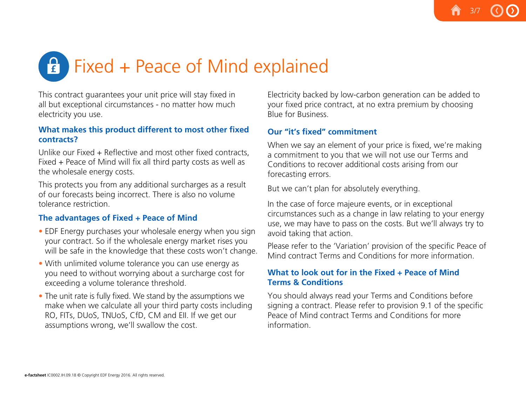# $\mathbf{F}$ Fixed + Peace of Mind explained

This contract guarantees your unit price will stay fixed in all but exceptional circumstances - no matter how much electricity you use.

#### **What makes this product different to most other fixed contracts?**

Unlike our Fixed + Reflective and most other fixed contracts, Fixed + Peace of Mind will fix all third party costs as well as the wholesale energy costs.

This protects you from any additional surcharges as a result of our forecasts being incorrect. There is also no volume tolerance restriction.

# **The advantages of Fixed + Peace of Mind**

- EDF Energy purchases your wholesale energy when you sign your contract. So if the wholesale energy market rises you will be safe in the knowledge that these costs won't change.
- With unlimited volume tolerance you can use energy as you need to without worrying about a surcharge cost for exceeding a volume tolerance threshold.
- The unit rate is fully fixed. We stand by the assumptions we make when we calculate all your third party costs including RO, FITs, DUoS, TNUoS, CfD, CM and EII. If we get our assumptions wrong, we'll swallow the cost.

Electricity backed by low-carbon generation can be added to your fixed price contract, at no extra premium by choosing Blue for Business.

# **Our "it's fixed" commitment**

When we say an element of your price is fixed, we're making a commitment to you that we will not use our Terms and Conditions to recover additional costs arising from our forecasting errors.

But we can't plan for absolutely everything.

In the case of force majeure events, or in exceptional circumstances such as a change in law relating to your energy use, we may have to pass on the costs. But we'll always try to avoid taking that action.

Please refer to the 'Variation' provision of the specific Peace of Mind contract Terms and Conditions for more information.

# **What to look out for in the Fixed + Peace of Mind Terms & Conditions**

You should always read your Terms and Conditions before signing a contract. Please refer to provision 9.1 of the specific Peace of Mind contract Terms and Conditions for more information.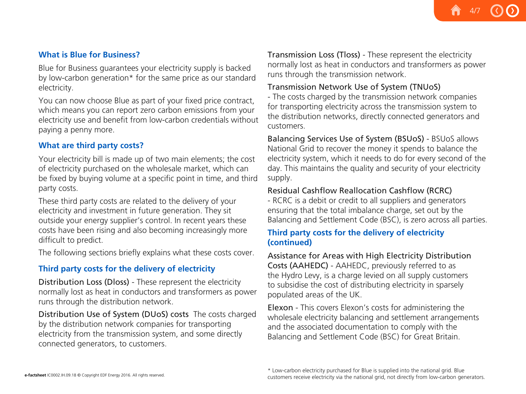4/7

# **What is Blue for Business?**

Blue for Business guarantees your electricity supply is backed by low-carbon generation\* for the same price as our standard electricity.

You can now choose Blue as part of your fixed price contract, which means you can report zero carbon emissions from your electricity use and benefit from low-carbon credentials without paying a penny more.

# **What are third party costs?**

Your electricity bill is made up of two main elements; the cost of electricity purchased on the wholesale market, which can be fixed by buying volume at a specific point in time, and third party costs.

These third party costs are related to the delivery of your electricity and investment in future generation. They sit outside your energy supplier's control. In recent years these costs have been rising and also becoming increasingly more difficult to predict.

The following sections briefly explains what these costs cover.

# **Third party costs for the delivery of electricity**

Distribution Loss (Dloss) - These represent the electricity normally lost as heat in conductors and transformers as power runs through the distribution network.

Distribution Use of System (DUoS) costs The costs charged by the distribution network companies for transporting electricity from the transmission system, and some directly connected generators, to customers.

Transmission Loss (Tloss) - These represent the electricity normally lost as heat in conductors and transformers as power runs through the transmission network.

# Transmission Network Use of System (TNUoS)

- The costs charged by the transmission network companies for transporting electricity across the transmission system to the distribution networks, directly connected generators and customers.

Balancing Services Use of System (BSUoS) - BSUoS allows National Grid to recover the money it spends to balance the electricity system, which it needs to do for every second of the day. This maintains the quality and security of your electricity supply.

# Residual Cashflow Reallocation Cashflow (RCRC)

- RCRC is a debit or credit to all suppliers and generators ensuring that the total imbalance charge, set out by the Balancing and Settlement Code (BSC), is zero across all parties.

# **Third party costs for the delivery of electricity (continued)**

Assistance for Areas with High Electricity Distribution Costs (AAHEDC) - AAHEDC, previously referred to as the Hydro Levy, is a charge levied on all supply customers to subsidise the cost of distributing electricity in sparsely populated areas of the UK.

Elexon - This covers Elexon's costs for administering the wholesale electricity balancing and settlement arrangements and the associated documentation to comply with the Balancing and Settlement Code (BSC) for Great Britain.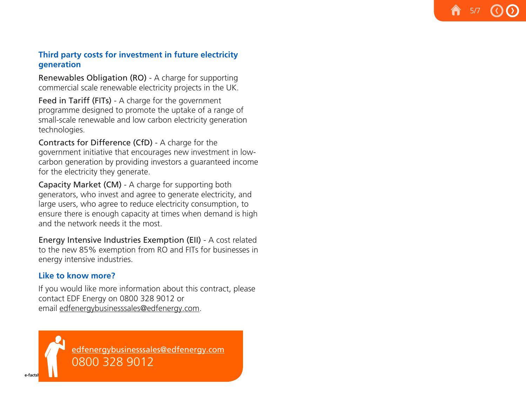# **Third party costs for investment in future electricity generation**

5/7

Renewables Obligation (RO) - A charge for supporting commercial scale renewable electricity projects in the UK.

Feed in Tariff (FITs) - A charge for the government programme designed to promote the uptake of a range of small-scale renewable and low carbon electricity generation technologies.

Contracts for Difference (CfD) - A charge for the government initiative that encourages new investment in lowcarbon generation by providing investors a guaranteed income for the electricity they generate.

Capacity Market (CM) - A charge for supporting both generators, who invest and agree to generate electricity, and large users, who agree to reduce electricity consumption, to ensure there is enough capacity at times when demand is high and the network needs it the most.

Energy Intensive Industries Exemption (EII) - A cost related to the new 85% exemption from RO and FITs for businesses in energy intensive industries.

# **Like to know more?**

If you would like more information about this contract, please contact EDF Energy on 0800 328 9012 or email [edfenergybusinesssales@edfenergy.com](mailto:edfenergybusinesssales%40edfenergy.com?subject=).

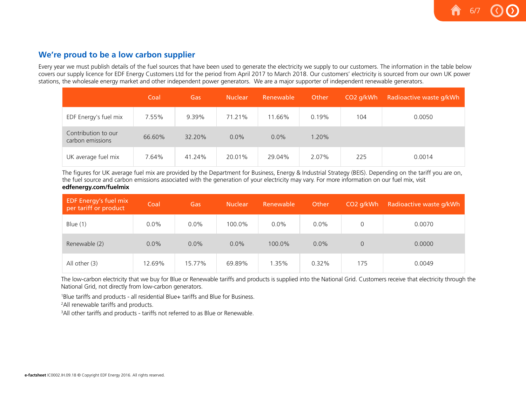#### **We're proud to be a low carbon supplier**

Every year we must publish details of the fuel sources that have been used to generate the electricity we supply to our customers. The information in the table below covers our supply licence for EDF Energy Customers Ltd for the period from April 2017 to March 2018. Our customers' electricity is sourced from our own UK power stations, the wholesale energy market and other independent power generators. We are a major supporter of independent renewable generators.

6/7

|                                         | Coal   | Gas    | <b>Nuclear</b> | Renewable | Other | CO <sub>2</sub> q/kWh | Radioactive waste g/kWh |
|-----------------------------------------|--------|--------|----------------|-----------|-------|-----------------------|-------------------------|
| EDF Energy's fuel mix                   | 7.55%  | 9.39%  | 71.21%         | 11.66%    | 0.19% | 104                   | 0.0050                  |
| Contribution to our<br>carbon emissions | 66.60% | 32.20% | 0.0%           | $0.0\%$   | .20%  |                       |                         |
| UK average fuel mix                     | 7.64%  | 41.24% | 20.01%         | 29.04%    | 2.07% | 225                   | 0.0014                  |

 The figures for UK average fuel mix are provided by the Department for Business, Energy & Industrial Strategy (BEIS). Depending on the tariff you are on, the fuel source and carbon emissions associated with the generation of your electricity may vary. For more information on our fuel mix, visit **edfenergy.com/fuelmix**

| <b>EDF Energy's fuel mix</b><br>per tariff or product | Coal    | Gas     | <b>Nuclear</b> | Renewable | Other   | CO <sub>2</sub> q/kWh | Radioactive waste g/kWh |
|-------------------------------------------------------|---------|---------|----------------|-----------|---------|-----------------------|-------------------------|
| Blue $(1)$                                            | $0.0\%$ | $0.0\%$ | 100.0%         | $0.0\%$   | 0.0%    |                       | 0.0070                  |
| Renewable (2)                                         | 0.0%    | 0.0%    | $0.0\%$        | 100.0%    | $0.0\%$ | $\overline{O}$        | 0.0000                  |
| All other (3)                                         | 12.69%  | 15.77%  | 69.89%         | 1.35%     | 0.32%   | 175                   | 0.0049                  |

The low-carbon electricity that we buy for Blue or Renewable tariffs and products is supplied into the National Grid. Customers receive that electricity through the National Grid, not directly from low-carbon generators.

1 Blue tariffs and products - all residential Blue+ tariffs and Blue for Business.

<sup>2</sup>All renewable tariffs and products.

<sup>3</sup>All other tariffs and products - tariffs not referred to as Blue or Renewable.